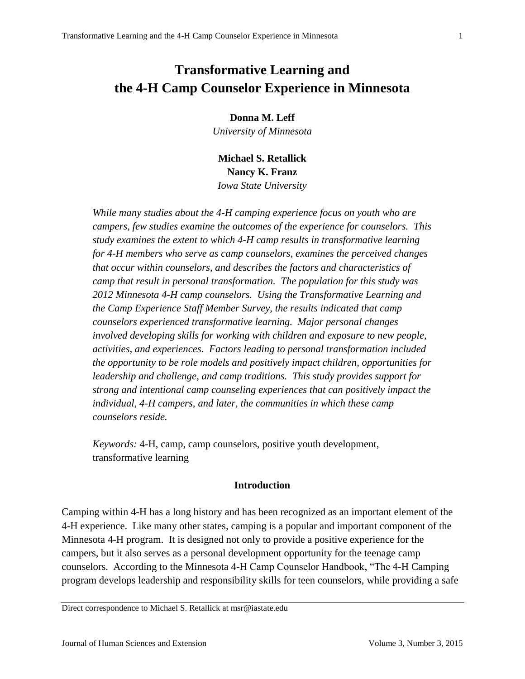# **Transformative Learning and the 4-H Camp Counselor Experience in Minnesota**

**Donna M. Leff**

*University of Minnesota*

**Michael S. Retallick Nancy K. Franz** *Iowa State University*

*While many studies about the 4-H camping experience focus on youth who are campers, few studies examine the outcomes of the experience for counselors. This study examines the extent to which 4-H camp results in transformative learning for 4-H members who serve as camp counselors, examines the perceived changes that occur within counselors, and describes the factors and characteristics of camp that result in personal transformation. The population for this study was 2012 Minnesota 4-H camp counselors. Using the Transformative Learning and the Camp Experience Staff Member Survey, the results indicated that camp counselors experienced transformative learning. Major personal changes involved developing skills for working with children and exposure to new people, activities, and experiences. Factors leading to personal transformation included the opportunity to be role models and positively impact children, opportunities for leadership and challenge, and camp traditions. This study provides support for strong and intentional camp counseling experiences that can positively impact the individual, 4-H campers, and later, the communities in which these camp counselors reside.*

*Keywords:* 4-H, camp, camp counselors, positive youth development, transformative learning

## **Introduction**

Camping within 4-H has a long history and has been recognized as an important element of the 4-H experience. Like many other states, camping is a popular and important component of the Minnesota 4-H program. It is designed not only to provide a positive experience for the campers, but it also serves as a personal development opportunity for the teenage camp counselors. According to the Minnesota 4-H Camp Counselor Handbook, "The 4-H Camping program develops leadership and responsibility skills for teen counselors, while providing a safe

Direct correspondence to Michael S. Retallick at msr@iastate.edu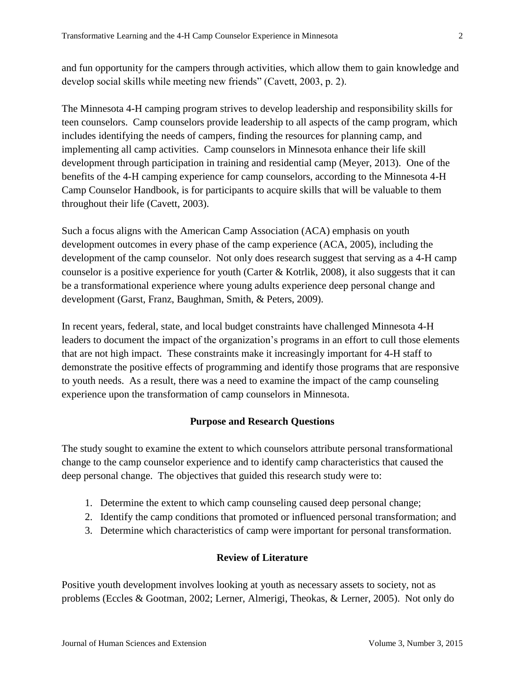and fun opportunity for the campers through activities, which allow them to gain knowledge and develop social skills while meeting new friends" (Cavett, 2003, p. 2).

The Minnesota 4-H camping program strives to develop leadership and responsibility skills for teen counselors. Camp counselors provide leadership to all aspects of the camp program, which includes identifying the needs of campers, finding the resources for planning camp, and implementing all camp activities. Camp counselors in Minnesota enhance their life skill development through participation in training and residential camp (Meyer, 2013). One of the benefits of the 4-H camping experience for camp counselors, according to the Minnesota 4-H Camp Counselor Handbook, is for participants to acquire skills that will be valuable to them throughout their life (Cavett, 2003).

Such a focus aligns with the American Camp Association (ACA) emphasis on youth development outcomes in every phase of the camp experience (ACA, 2005), including the development of the camp counselor. Not only does research suggest that serving as a 4-H camp counselor is a positive experience for youth (Carter & Kotrlik, 2008), it also suggests that it can be a transformational experience where young adults experience deep personal change and development (Garst, Franz, Baughman, Smith, & Peters, 2009).

In recent years, federal, state, and local budget constraints have challenged Minnesota 4-H leaders to document the impact of the organization's programs in an effort to cull those elements that are not high impact. These constraints make it increasingly important for 4-H staff to demonstrate the positive effects of programming and identify those programs that are responsive to youth needs. As a result, there was a need to examine the impact of the camp counseling experience upon the transformation of camp counselors in Minnesota.

# **Purpose and Research Questions**

The study sought to examine the extent to which counselors attribute personal transformational change to the camp counselor experience and to identify camp characteristics that caused the deep personal change. The objectives that guided this research study were to:

- 1. Determine the extent to which camp counseling caused deep personal change;
- 2. Identify the camp conditions that promoted or influenced personal transformation; and
- 3. Determine which characteristics of camp were important for personal transformation.

# **Review of Literature**

Positive youth development involves looking at youth as necessary assets to society, not as problems (Eccles & Gootman, 2002; Lerner, Almerigi, Theokas, & Lerner, 2005). Not only do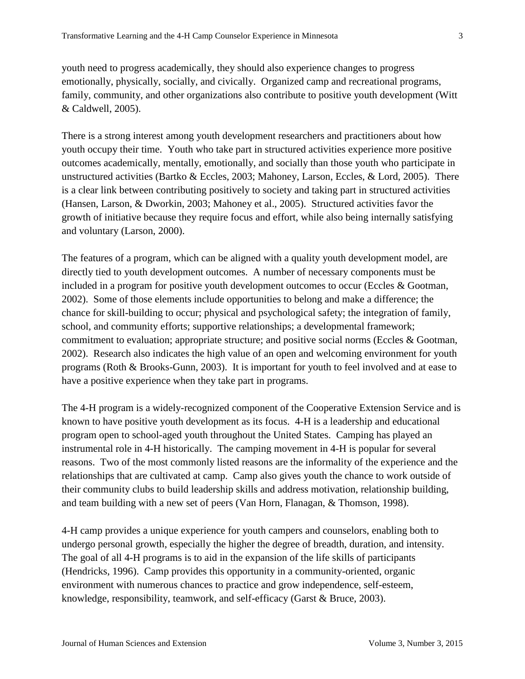youth need to progress academically, they should also experience changes to progress emotionally, physically, socially, and civically. Organized camp and recreational programs, family, community, and other organizations also contribute to positive youth development (Witt & Caldwell, 2005).

There is a strong interest among youth development researchers and practitioners about how youth occupy their time. Youth who take part in structured activities experience more positive outcomes academically, mentally, emotionally, and socially than those youth who participate in unstructured activities (Bartko & Eccles, 2003; Mahoney, Larson, Eccles, & Lord, 2005). There is a clear link between contributing positively to society and taking part in structured activities (Hansen, Larson, & Dworkin, 2003; Mahoney et al., 2005). Structured activities favor the growth of initiative because they require focus and effort, while also being internally satisfying and voluntary (Larson, 2000).

The features of a program, which can be aligned with a quality youth development model, are directly tied to youth development outcomes. A number of necessary components must be included in a program for positive youth development outcomes to occur (Eccles & Gootman, 2002). Some of those elements include opportunities to belong and make a difference; the chance for skill-building to occur; physical and psychological safety; the integration of family, school, and community efforts; supportive relationships; a developmental framework; commitment to evaluation; appropriate structure; and positive social norms (Eccles & Gootman, 2002). Research also indicates the high value of an open and welcoming environment for youth programs (Roth & Brooks-Gunn, 2003). It is important for youth to feel involved and at ease to have a positive experience when they take part in programs.

The 4-H program is a widely-recognized component of the Cooperative Extension Service and is known to have positive youth development as its focus. 4-H is a leadership and educational program open to school-aged youth throughout the United States. Camping has played an instrumental role in 4-H historically. The camping movement in 4-H is popular for several reasons. Two of the most commonly listed reasons are the informality of the experience and the relationships that are cultivated at camp. Camp also gives youth the chance to work outside of their community clubs to build leadership skills and address motivation, relationship building, and team building with a new set of peers (Van Horn, Flanagan, & Thomson, 1998).

4-H camp provides a unique experience for youth campers and counselors, enabling both to undergo personal growth, especially the higher the degree of breadth, duration, and intensity. The goal of all 4-H programs is to aid in the expansion of the life skills of participants (Hendricks, 1996). Camp provides this opportunity in a community-oriented, organic environment with numerous chances to practice and grow independence, self-esteem, knowledge, responsibility, teamwork, and self-efficacy (Garst & Bruce, 2003).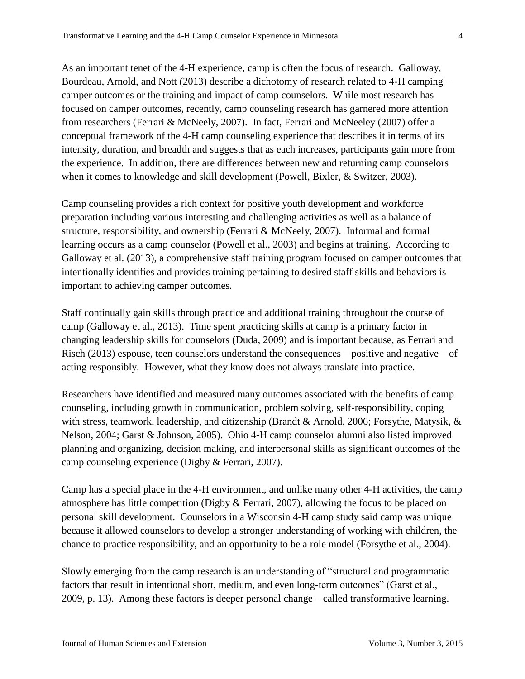As an important tenet of the 4-H experience, camp is often the focus of research. Galloway, Bourdeau, Arnold, and Nott (2013) describe a dichotomy of research related to 4-H camping – camper outcomes or the training and impact of camp counselors. While most research has focused on camper outcomes, recently, camp counseling research has garnered more attention from researchers (Ferrari & McNeely, 2007). In fact, Ferrari and McNeeley (2007) offer a conceptual framework of the 4-H camp counseling experience that describes it in terms of its intensity, duration, and breadth and suggests that as each increases, participants gain more from the experience. In addition, there are differences between new and returning camp counselors when it comes to knowledge and skill development (Powell, Bixler, & Switzer, 2003).

Camp counseling provides a rich context for positive youth development and workforce preparation including various interesting and challenging activities as well as a balance of structure, responsibility, and ownership (Ferrari & McNeely, 2007). Informal and formal learning occurs as a camp counselor (Powell et al., 2003) and begins at training. According to Galloway et al. (2013), a comprehensive staff training program focused on camper outcomes that intentionally identifies and provides training pertaining to desired staff skills and behaviors is important to achieving camper outcomes.

Staff continually gain skills through practice and additional training throughout the course of camp (Galloway et al., 2013). Time spent practicing skills at camp is a primary factor in changing leadership skills for counselors (Duda, 2009) and is important because, as Ferrari and Risch (2013) espouse, teen counselors understand the consequences – positive and negative – of acting responsibly. However, what they know does not always translate into practice.

Researchers have identified and measured many outcomes associated with the benefits of camp counseling, including growth in communication, problem solving, self-responsibility, coping with stress, teamwork, leadership, and citizenship (Brandt & Arnold, 2006; Forsythe, Matysik, & Nelson, 2004; Garst & Johnson, 2005). Ohio 4-H camp counselor alumni also listed improved planning and organizing, decision making, and interpersonal skills as significant outcomes of the camp counseling experience (Digby & Ferrari, 2007).

Camp has a special place in the 4-H environment, and unlike many other 4-H activities, the camp atmosphere has little competition (Digby & Ferrari, 2007), allowing the focus to be placed on personal skill development. Counselors in a Wisconsin 4-H camp study said camp was unique because it allowed counselors to develop a stronger understanding of working with children, the chance to practice responsibility, and an opportunity to be a role model (Forsythe et al., 2004).

Slowly emerging from the camp research is an understanding of "structural and programmatic factors that result in intentional short, medium, and even long-term outcomes" (Garst et al., 2009, p. 13). Among these factors is deeper personal change – called transformative learning.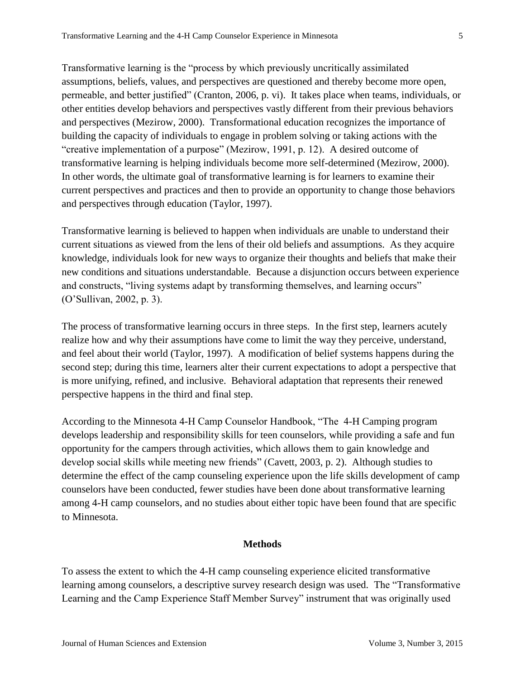Transformative learning is the "process by which previously uncritically assimilated assumptions, beliefs, values, and perspectives are questioned and thereby become more open, permeable, and better justified" (Cranton, 2006, p. vi). It takes place when teams, individuals, or other entities develop behaviors and perspectives vastly different from their previous behaviors and perspectives (Mezirow, 2000). Transformational education recognizes the importance of building the capacity of individuals to engage in problem solving or taking actions with the "creative implementation of a purpose" (Mezirow, 1991, p. 12). A desired outcome of transformative learning is helping individuals become more self-determined (Mezirow, 2000). In other words, the ultimate goal of transformative learning is for learners to examine their current perspectives and practices and then to provide an opportunity to change those behaviors and perspectives through education (Taylor, 1997).

Transformative learning is believed to happen when individuals are unable to understand their current situations as viewed from the lens of their old beliefs and assumptions. As they acquire knowledge, individuals look for new ways to organize their thoughts and beliefs that make their new conditions and situations understandable. Because a disjunction occurs between experience and constructs, "living systems adapt by transforming themselves, and learning occurs" (O'Sullivan, 2002, p. 3).

The process of transformative learning occurs in three steps. In the first step, learners acutely realize how and why their assumptions have come to limit the way they perceive, understand, and feel about their world (Taylor, 1997). A modification of belief systems happens during the second step; during this time, learners alter their current expectations to adopt a perspective that is more unifying, refined, and inclusive. Behavioral adaptation that represents their renewed perspective happens in the third and final step.

According to the Minnesota 4-H Camp Counselor Handbook, "The 4-H Camping program develops leadership and responsibility skills for teen counselors, while providing a safe and fun opportunity for the campers through activities, which allows them to gain knowledge and develop social skills while meeting new friends" (Cavett, 2003, p. 2). Although studies to determine the effect of the camp counseling experience upon the life skills development of camp counselors have been conducted, fewer studies have been done about transformative learning among 4-H camp counselors, and no studies about either topic have been found that are specific to Minnesota.

## **Methods**

To assess the extent to which the 4-H camp counseling experience elicited transformative learning among counselors, a descriptive survey research design was used. The "Transformative Learning and the Camp Experience Staff Member Survey" instrument that was originally used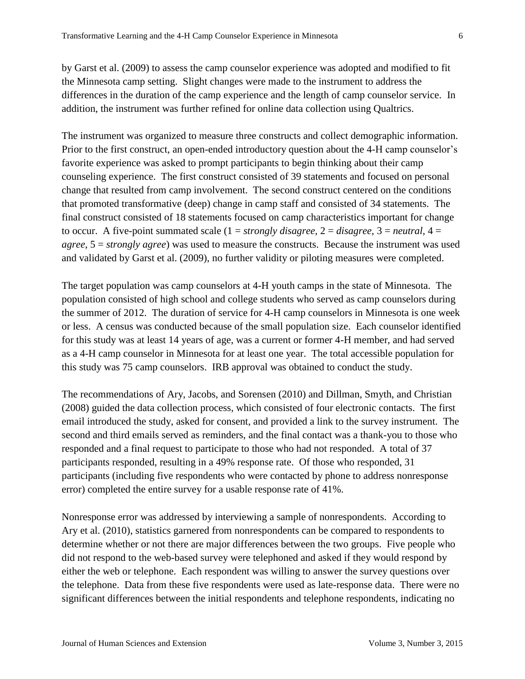by Garst et al. (2009) to assess the camp counselor experience was adopted and modified to fit the Minnesota camp setting. Slight changes were made to the instrument to address the differences in the duration of the camp experience and the length of camp counselor service. In addition, the instrument was further refined for online data collection using Qualtrics.

The instrument was organized to measure three constructs and collect demographic information. Prior to the first construct, an open-ended introductory question about the 4-H camp counselor's favorite experience was asked to prompt participants to begin thinking about their camp counseling experience. The first construct consisted of 39 statements and focused on personal change that resulted from camp involvement. The second construct centered on the conditions that promoted transformative (deep) change in camp staff and consisted of 34 statements. The final construct consisted of 18 statements focused on camp characteristics important for change to occur. A five-point summated scale  $(1 = strongly \, disagree, 2 = disagree, 3 = neutral, 4 =$ *agree*, 5 = *strongly agree*) was used to measure the constructs. Because the instrument was used and validated by Garst et al. (2009), no further validity or piloting measures were completed.

The target population was camp counselors at 4-H youth camps in the state of Minnesota. The population consisted of high school and college students who served as camp counselors during the summer of 2012. The duration of service for 4-H camp counselors in Minnesota is one week or less. A census was conducted because of the small population size. Each counselor identified for this study was at least 14 years of age, was a current or former 4-H member, and had served as a 4-H camp counselor in Minnesota for at least one year. The total accessible population for this study was 75 camp counselors. IRB approval was obtained to conduct the study.

The recommendations of Ary, Jacobs, and Sorensen (2010) and Dillman, Smyth, and Christian (2008) guided the data collection process, which consisted of four electronic contacts. The first email introduced the study, asked for consent, and provided a link to the survey instrument. The second and third emails served as reminders, and the final contact was a thank-you to those who responded and a final request to participate to those who had not responded. A total of 37 participants responded, resulting in a 49% response rate. Of those who responded, 31 participants (including five respondents who were contacted by phone to address nonresponse error) completed the entire survey for a usable response rate of 41%.

Nonresponse error was addressed by interviewing a sample of nonrespondents. According to Ary et al. (2010), statistics garnered from nonrespondents can be compared to respondents to determine whether or not there are major differences between the two groups. Five people who did not respond to the web-based survey were telephoned and asked if they would respond by either the web or telephone. Each respondent was willing to answer the survey questions over the telephone. Data from these five respondents were used as late-response data. There were no significant differences between the initial respondents and telephone respondents, indicating no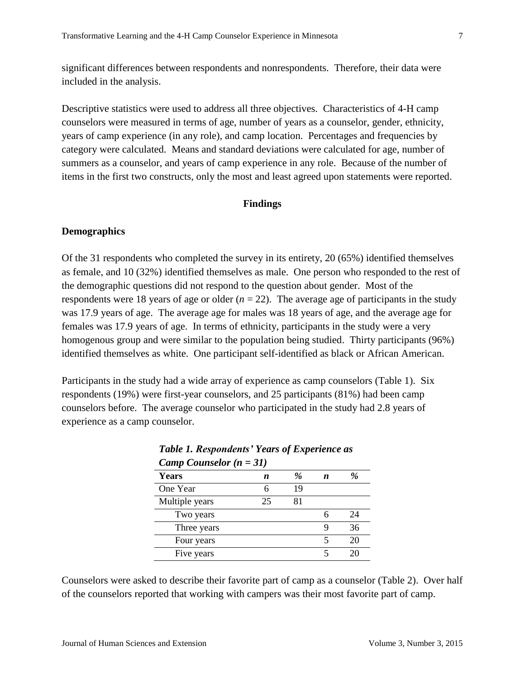significant differences between respondents and nonrespondents. Therefore, their data were included in the analysis.

Descriptive statistics were used to address all three objectives. Characteristics of 4-H camp counselors were measured in terms of age, number of years as a counselor, gender, ethnicity, years of camp experience (in any role), and camp location. Percentages and frequencies by category were calculated. Means and standard deviations were calculated for age, number of summers as a counselor, and years of camp experience in any role. Because of the number of items in the first two constructs, only the most and least agreed upon statements were reported.

#### **Findings**

# **Demographics**

Of the 31 respondents who completed the survey in its entirety, 20 (65%) identified themselves as female, and 10 (32%) identified themselves as male. One person who responded to the rest of the demographic questions did not respond to the question about gender. Most of the respondents were 18 years of age or older  $(n = 22)$ . The average age of participants in the study was 17.9 years of age. The average age for males was 18 years of age, and the average age for females was 17.9 years of age. In terms of ethnicity, participants in the study were a very homogenous group and were similar to the population being studied. Thirty participants (96%) identified themselves as white. One participant self-identified as black or African American.

Participants in the study had a wide array of experience as camp counselors (Table 1). Six respondents (19%) were first-year counselors, and 25 participants (81%) had been camp counselors before. The average counselor who participated in the study had 2.8 years of experience as a camp counselor.

| Camp Counselor $(n = 31)$ |    |               |   |    |
|---------------------------|----|---------------|---|----|
| <b>Years</b>              | n  | $\frac{a}{2}$ | n | %  |
| One Year                  | 6  | 19            |   |    |
| Multiple years            | 25 | 81            |   |    |
| Two years                 |    |               | 6 | 24 |
| Three years               |    |               | g | 36 |
| Four years                |    |               | 5 | 20 |
| Five years                |    |               | 5 | 20 |

*Table 1. Respondents' Years of Experience as* 

Counselors were asked to describe their favorite part of camp as a counselor (Table 2). Over half of the counselors reported that working with campers was their most favorite part of camp.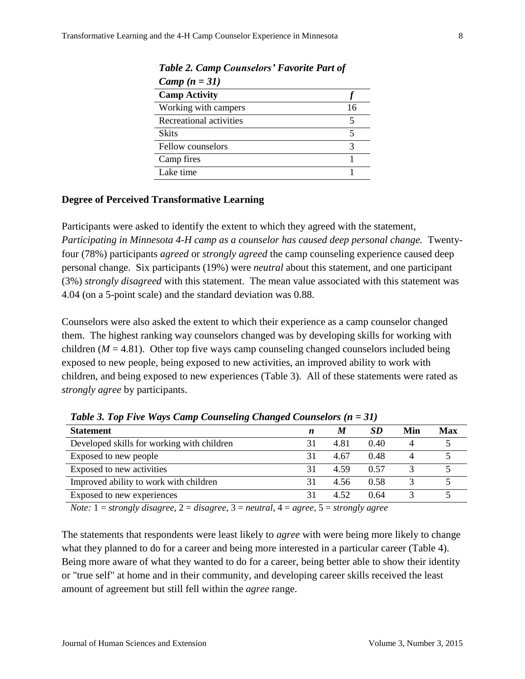| Camp $(n = 31)$         |    |
|-------------------------|----|
| <b>Camp Activity</b>    |    |
| Working with campers    | 16 |
| Recreational activities |    |
| <b>Skits</b>            |    |
| Fellow counselors       | 3  |
| Camp fires              |    |
| Lake time               |    |

*Table 2. Camp Counselors' Favorite Part of* 

# **Degree of Perceived Transformative Learning**

Participants were asked to identify the extent to which they agreed with the statement, *Participating in Minnesota 4-H camp as a counselor has caused deep personal change.* Twentyfour (78%) participants *agreed* or *strongly agreed* the camp counseling experience caused deep personal change. Six participants (19%) were *neutral* about this statement, and one participant (3%) *strongly disagreed* with this statement. The mean value associated with this statement was 4.04 (on a 5-point scale) and the standard deviation was 0.88.

Counselors were also asked the extent to which their experience as a camp counselor changed them. The highest ranking way counselors changed was by developing skills for working with children ( $M = 4.81$ ). Other top five ways camp counseling changed counselors included being exposed to new people, being exposed to new activities, an improved ability to work with children, and being exposed to new experiences (Table 3). All of these statements were rated as *strongly agree* by participants.

| ີ<br>ີ                                     |   |      |           |     |     |
|--------------------------------------------|---|------|-----------|-----|-----|
| <b>Statement</b>                           | n | M    | <b>SD</b> | Min | Max |
| Developed skills for working with children |   | 4.81 | 0.40      |     |     |
| Exposed to new people                      |   | 4.67 | 0.48      |     |     |
| Exposed to new activities                  |   | 4.59 | 0.57      |     |     |
| Improved ability to work with children     |   | 4.56 | 0.58      |     |     |
| Exposed to new experiences                 |   | 4.52 | 0.64      |     |     |
|                                            |   |      |           |     |     |

*Table 3. Top Five Ways Camp Counseling Changed Counselors (n = 31)*

*Note:* 1 = *strongly disagree*, 2 = *disagree*, 3 = *neutral*, 4 = *agree*, 5 = *strongly agree*

The statements that respondents were least likely to *agree* with were being more likely to change what they planned to do for a career and being more interested in a particular career (Table 4). Being more aware of what they wanted to do for a career, being better able to show their identity or "true self" at home and in their community, and developing career skills received the least amount of agreement but still fell within the *agree* range.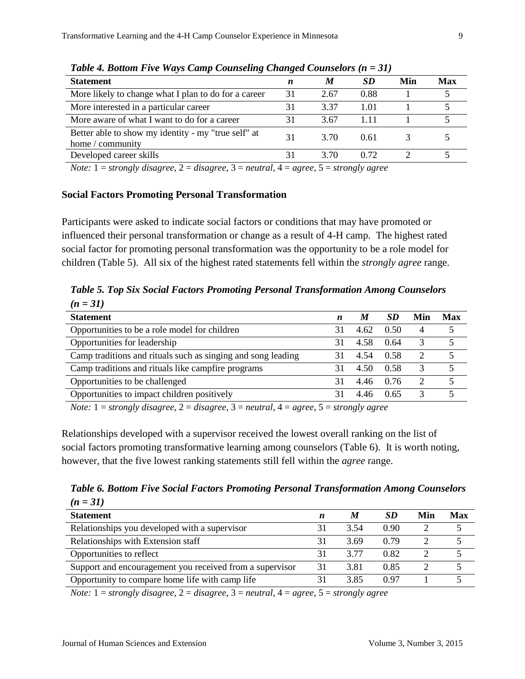| Twee $\pi$ , Donom I in $\pi$ in $\eta$ camp Counseling Changea Counselors (n = 51) |    |      |      |     |            |  |  |
|-------------------------------------------------------------------------------------|----|------|------|-----|------------|--|--|
| <b>Statement</b>                                                                    | n  | M    | SD   | Min | <b>Max</b> |  |  |
| More likely to change what I plan to do for a career                                | 31 | 2.67 | 0.88 |     |            |  |  |
| More interested in a particular career                                              | 31 | 3.37 | 1 01 |     |            |  |  |
| More aware of what I want to do for a career                                        | 31 | 3.67 | 111  |     |            |  |  |
| Better able to show my identity - my "true self" at<br>home / community             | 31 | 3.70 | 0.61 |     |            |  |  |
| Developed career skills                                                             |    | 3.70 | 0.72 |     |            |  |  |
| $\sim$ $\sim$<br>$\sim$                                                             |    |      |      |     |            |  |  |

*Table 4. Bottom Five Ways Camp Counseling Changed Counselors (n = 31)*

*Note:* 1 = *strongly disagree*, 2 = *disagree*, 3 = *neutral*, 4 = *agree*, 5 = *strongly agree*

#### **Social Factors Promoting Personal Transformation**

Participants were asked to indicate social factors or conditions that may have promoted or influenced their personal transformation or change as a result of 4-H camp. The highest rated social factor for promoting personal transformation was the opportunity to be a role model for children (Table 5). All six of the highest rated statements fell within the *strongly agree* range.

*Table 5. Top Six Social Factors Promoting Personal Transformation Among Counselors (n = 31)*

| <b>Statement</b>                                                                                                                                                                                                                                                                                                                      | $\boldsymbol{n}$ | M    | <b>SD</b> | Min                         | Max |  |
|---------------------------------------------------------------------------------------------------------------------------------------------------------------------------------------------------------------------------------------------------------------------------------------------------------------------------------------|------------------|------|-----------|-----------------------------|-----|--|
| Opportunities to be a role model for children                                                                                                                                                                                                                                                                                         | 31               | 4.62 | 0.50      | $\overline{4}$              |     |  |
| Opportunities for leadership                                                                                                                                                                                                                                                                                                          | 31               | 4.58 | 0.64      | 3                           |     |  |
| Camp traditions and rituals such as singing and song leading                                                                                                                                                                                                                                                                          | 31               | 4.54 | 0.58      | 2                           |     |  |
| Camp traditions and rituals like camp fire programs                                                                                                                                                                                                                                                                                   |                  | 4.50 | 0.58      | 3                           |     |  |
| Opportunities to be challenged                                                                                                                                                                                                                                                                                                        | 31               | 4.46 | 0.76      | $\mathcal{D}_{\mathcal{L}}$ |     |  |
| Opportunities to impact children positively                                                                                                                                                                                                                                                                                           | 31               | 4.46 | 0.65      | 3                           |     |  |
| $\mathcal{M}_{\mathcal{L}}$ and $\mathcal{L}_{\mathcal{L}}$ . There is a set of the set of $\mathcal{L}_{\mathcal{L}}$ is a set of $\mathcal{L}_{\mathcal{L}}$ is a set of $\mathcal{L}_{\mathcal{L}}$ is a set of $\mathcal{L}_{\mathcal{L}}$ is a set of $\mathcal{L}_{\mathcal{L}}$ is a set of $\mathcal{L}_{\mathcal{L}}$ is a s |                  |      |           |                             |     |  |

*Note:* 1 = *strongly disagree*, 2 = *disagree*, 3 = *neutral*, 4 = *agree*, 5 = *strongly agree*

Relationships developed with a supervisor received the lowest overall ranking on the list of social factors promoting transformative learning among counselors (Table 6). It is worth noting, however, that the five lowest ranking statements still fell within the *agree* range.

*Table 6. Bottom Five Social Factors Promoting Personal Transformation Among Counselors (n = 31)*

| <b>Statement</b>                                         | n  | M    | <b>SD</b> | Min | Max |
|----------------------------------------------------------|----|------|-----------|-----|-----|
| Relationships you developed with a supervisor            |    | 3.54 | 0.90      |     |     |
| Relationships with Extension staff                       |    | 3.69 | 0.79      |     |     |
| Opportunities to reflect                                 |    | 3 77 | 0.82      |     |     |
| Support and encouragement you received from a supervisor | 31 | 3.81 | 0.85      |     |     |
| Opportunity to compare home life with camp life          |    | 3.85 | 0.97      |     |     |
|                                                          |    |      |           |     |     |

*Note:* 1 = *strongly disagree*, 2 = *disagree*, 3 = *neutral*, 4 = *agree*, 5 = *strongly agree*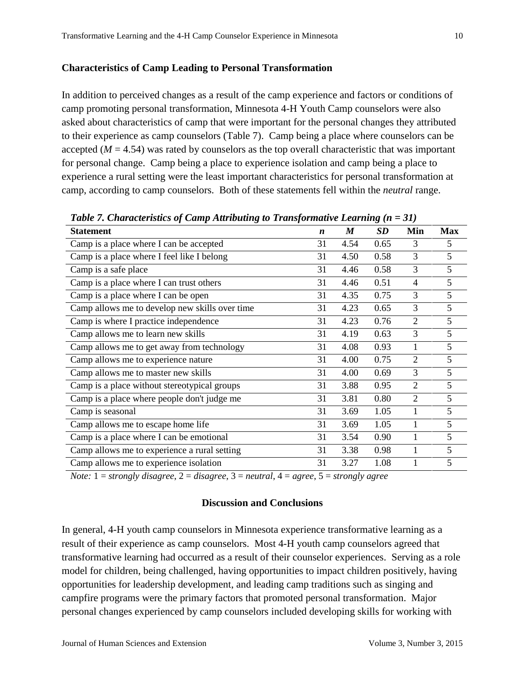## **Characteristics of Camp Leading to Personal Transformation**

In addition to perceived changes as a result of the camp experience and factors or conditions of camp promoting personal transformation, Minnesota 4-H Youth Camp counselors were also asked about characteristics of camp that were important for the personal changes they attributed to their experience as camp counselors (Table 7). Camp being a place where counselors can be accepted  $(M = 4.54)$  was rated by counselors as the top overall characteristic that was important for personal change. Camp being a place to experience isolation and camp being a place to experience a rural setting were the least important characteristics for personal transformation at camp, according to camp counselors. Both of these statements fell within the *neutral* range.

| <b>Statement</b>                               | $\boldsymbol{n}$ | $\boldsymbol{M}$ | <b>SD</b> | Min            | <b>Max</b> |  |  |
|------------------------------------------------|------------------|------------------|-----------|----------------|------------|--|--|
| Camp is a place where I can be accepted        | 31               | 4.54             | 0.65      | 3              | 5          |  |  |
| Camp is a place where I feel like I belong     | 31               | 4.50             | 0.58      | 3              | 5          |  |  |
| Camp is a safe place                           | 31               | 4.46             | 0.58      | 3              | 5          |  |  |
| Camp is a place where I can trust others       | 31               | 4.46             | 0.51      | 4              | 5          |  |  |
| Camp is a place where I can be open            | 31               | 4.35             | 0.75      | 3              | 5          |  |  |
| Camp allows me to develop new skills over time | 31               | 4.23             | 0.65      | 3              | 5          |  |  |
| Camp is where I practice independence          | 31               | 4.23             | 0.76      | $\overline{2}$ | 5          |  |  |
| Camp allows me to learn new skills             | 31               | 4.19             | 0.63      | 3              | 5          |  |  |
| Camp allows me to get away from technology     | 31               | 4.08             | 0.93      | 1              | 5          |  |  |
| Camp allows me to experience nature            | 31               | 4.00             | 0.75      | $\overline{2}$ | 5          |  |  |
| Camp allows me to master new skills            | 31               | 4.00             | 0.69      | 3              | 5          |  |  |
| Camp is a place without stereotypical groups   | 31               | 3.88             | 0.95      | $\overline{2}$ | 5          |  |  |
| Camp is a place where people don't judge me    | 31               | 3.81             | 0.80      | $\overline{2}$ | 5          |  |  |
| Camp is seasonal                               | 31               | 3.69             | 1.05      | 1              | 5          |  |  |
| Camp allows me to escape home life             | 31               | 3.69             | 1.05      |                | 5          |  |  |
| Camp is a place where I can be emotional       | 31               | 3.54             | 0.90      |                | 5          |  |  |
| Camp allows me to experience a rural setting   | 31               | 3.38             | 0.98      |                | 5          |  |  |
| Camp allows me to experience isolation         | 31               | 3.27             | 1.08      |                | 5          |  |  |

*Table 7. Characteristics of Camp Attributing to Transformative Learning (n = 31)*

*Note:* 1 = *strongly disagree*, 2 = *disagree*, 3 = *neutral*, 4 = *agree*, 5 = *strongly agree*

## **Discussion and Conclusions**

In general, 4-H youth camp counselors in Minnesota experience transformative learning as a result of their experience as camp counselors. Most 4-H youth camp counselors agreed that transformative learning had occurred as a result of their counselor experiences. Serving as a role model for children, being challenged, having opportunities to impact children positively, having opportunities for leadership development, and leading camp traditions such as singing and campfire programs were the primary factors that promoted personal transformation. Major personal changes experienced by camp counselors included developing skills for working with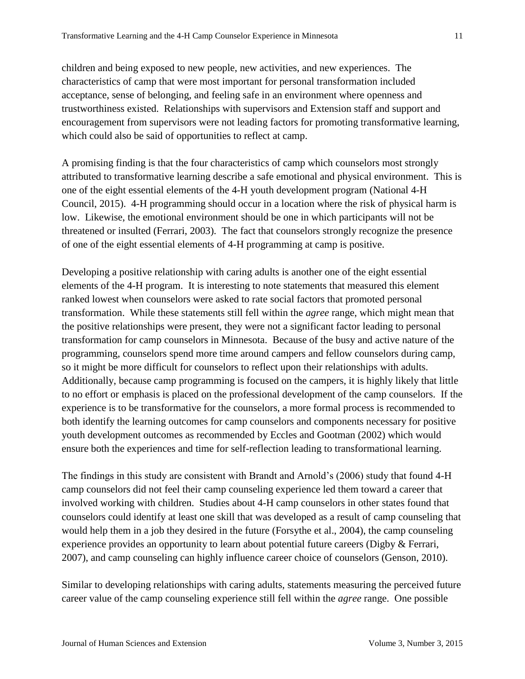children and being exposed to new people, new activities, and new experiences. The characteristics of camp that were most important for personal transformation included acceptance, sense of belonging, and feeling safe in an environment where openness and trustworthiness existed. Relationships with supervisors and Extension staff and support and encouragement from supervisors were not leading factors for promoting transformative learning, which could also be said of opportunities to reflect at camp.

A promising finding is that the four characteristics of camp which counselors most strongly attributed to transformative learning describe a safe emotional and physical environment. This is one of the eight essential elements of the 4-H youth development program (National 4-H Council, 2015). 4-H programming should occur in a location where the risk of physical harm is low. Likewise, the emotional environment should be one in which participants will not be threatened or insulted (Ferrari, 2003). The fact that counselors strongly recognize the presence of one of the eight essential elements of 4-H programming at camp is positive.

Developing a positive relationship with caring adults is another one of the eight essential elements of the 4-H program. It is interesting to note statements that measured this element ranked lowest when counselors were asked to rate social factors that promoted personal transformation. While these statements still fell within the *agree* range, which might mean that the positive relationships were present, they were not a significant factor leading to personal transformation for camp counselors in Minnesota. Because of the busy and active nature of the programming, counselors spend more time around campers and fellow counselors during camp, so it might be more difficult for counselors to reflect upon their relationships with adults. Additionally, because camp programming is focused on the campers, it is highly likely that little to no effort or emphasis is placed on the professional development of the camp counselors. If the experience is to be transformative for the counselors, a more formal process is recommended to both identify the learning outcomes for camp counselors and components necessary for positive youth development outcomes as recommended by Eccles and Gootman (2002) which would ensure both the experiences and time for self-reflection leading to transformational learning.

The findings in this study are consistent with Brandt and Arnold's (2006) study that found 4-H camp counselors did not feel their camp counseling experience led them toward a career that involved working with children. Studies about 4-H camp counselors in other states found that counselors could identify at least one skill that was developed as a result of camp counseling that would help them in a job they desired in the future (Forsythe et al., 2004), the camp counseling experience provides an opportunity to learn about potential future careers (Digby & Ferrari, 2007), and camp counseling can highly influence career choice of counselors (Genson, 2010).

Similar to developing relationships with caring adults, statements measuring the perceived future career value of the camp counseling experience still fell within the *agree* range. One possible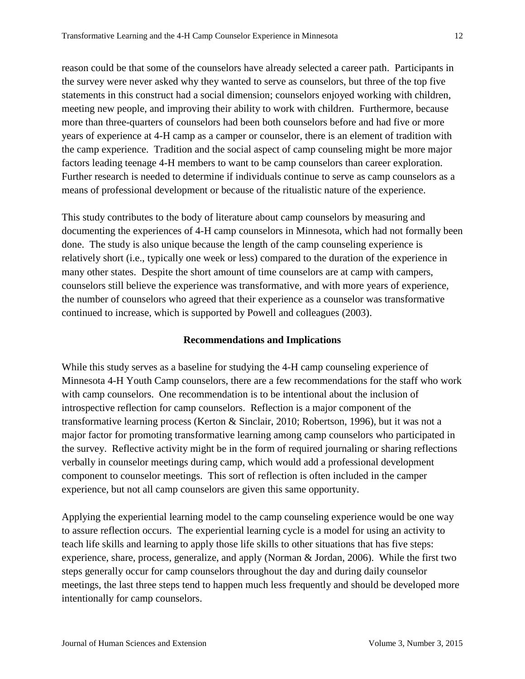reason could be that some of the counselors have already selected a career path. Participants in the survey were never asked why they wanted to serve as counselors, but three of the top five statements in this construct had a social dimension; counselors enjoyed working with children, meeting new people, and improving their ability to work with children. Furthermore, because more than three-quarters of counselors had been both counselors before and had five or more years of experience at 4-H camp as a camper or counselor, there is an element of tradition with the camp experience. Tradition and the social aspect of camp counseling might be more major factors leading teenage 4-H members to want to be camp counselors than career exploration. Further research is needed to determine if individuals continue to serve as camp counselors as a means of professional development or because of the ritualistic nature of the experience.

This study contributes to the body of literature about camp counselors by measuring and documenting the experiences of 4-H camp counselors in Minnesota, which had not formally been done. The study is also unique because the length of the camp counseling experience is relatively short (i.e., typically one week or less) compared to the duration of the experience in many other states. Despite the short amount of time counselors are at camp with campers, counselors still believe the experience was transformative, and with more years of experience, the number of counselors who agreed that their experience as a counselor was transformative continued to increase, which is supported by Powell and colleagues (2003).

# **Recommendations and Implications**

While this study serves as a baseline for studying the 4-H camp counseling experience of Minnesota 4-H Youth Camp counselors, there are a few recommendations for the staff who work with camp counselors. One recommendation is to be intentional about the inclusion of introspective reflection for camp counselors. Reflection is a major component of the transformative learning process (Kerton & Sinclair, 2010; Robertson, 1996), but it was not a major factor for promoting transformative learning among camp counselors who participated in the survey. Reflective activity might be in the form of required journaling or sharing reflections verbally in counselor meetings during camp, which would add a professional development component to counselor meetings. This sort of reflection is often included in the camper experience, but not all camp counselors are given this same opportunity.

Applying the experiential learning model to the camp counseling experience would be one way to assure reflection occurs. The experiential learning cycle is a model for using an activity to teach life skills and learning to apply those life skills to other situations that has five steps: experience, share, process, generalize, and apply (Norman & Jordan, 2006). While the first two steps generally occur for camp counselors throughout the day and during daily counselor meetings, the last three steps tend to happen much less frequently and should be developed more intentionally for camp counselors.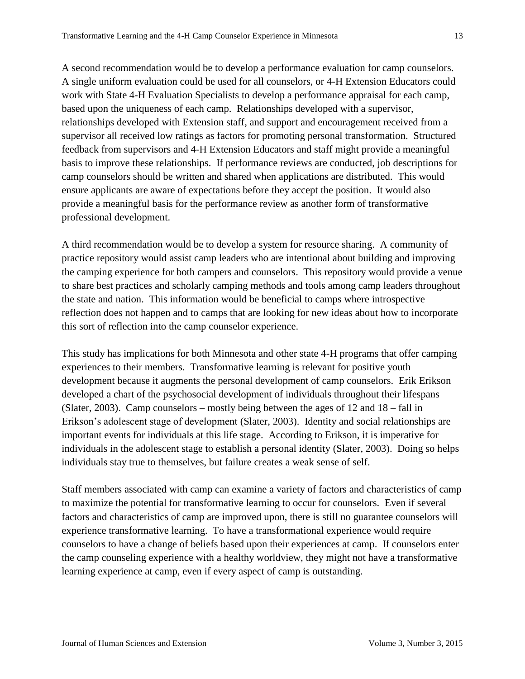A second recommendation would be to develop a performance evaluation for camp counselors. A single uniform evaluation could be used for all counselors, or 4-H Extension Educators could work with State 4-H Evaluation Specialists to develop a performance appraisal for each camp, based upon the uniqueness of each camp. Relationships developed with a supervisor, relationships developed with Extension staff, and support and encouragement received from a supervisor all received low ratings as factors for promoting personal transformation. Structured feedback from supervisors and 4-H Extension Educators and staff might provide a meaningful basis to improve these relationships. If performance reviews are conducted, job descriptions for camp counselors should be written and shared when applications are distributed. This would ensure applicants are aware of expectations before they accept the position. It would also provide a meaningful basis for the performance review as another form of transformative professional development.

A third recommendation would be to develop a system for resource sharing. A community of practice repository would assist camp leaders who are intentional about building and improving the camping experience for both campers and counselors. This repository would provide a venue to share best practices and scholarly camping methods and tools among camp leaders throughout the state and nation. This information would be beneficial to camps where introspective reflection does not happen and to camps that are looking for new ideas about how to incorporate this sort of reflection into the camp counselor experience.

This study has implications for both Minnesota and other state 4-H programs that offer camping experiences to their members. Transformative learning is relevant for positive youth development because it augments the personal development of camp counselors. Erik Erikson developed a chart of the psychosocial development of individuals throughout their lifespans (Slater, 2003). Camp counselors – mostly being between the ages of 12 and 18 – fall in Erikson's adolescent stage of development (Slater, 2003). Identity and social relationships are important events for individuals at this life stage. According to Erikson, it is imperative for individuals in the adolescent stage to establish a personal identity (Slater, 2003). Doing so helps individuals stay true to themselves, but failure creates a weak sense of self.

Staff members associated with camp can examine a variety of factors and characteristics of camp to maximize the potential for transformative learning to occur for counselors. Even if several factors and characteristics of camp are improved upon, there is still no guarantee counselors will experience transformative learning. To have a transformational experience would require counselors to have a change of beliefs based upon their experiences at camp. If counselors enter the camp counseling experience with a healthy worldview, they might not have a transformative learning experience at camp, even if every aspect of camp is outstanding.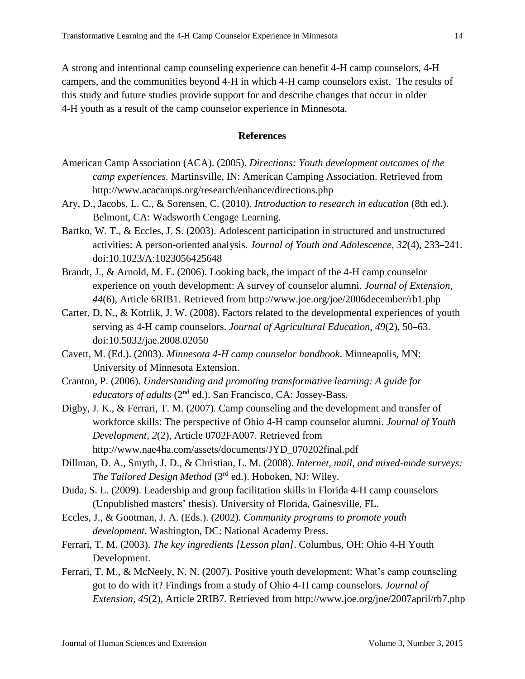A strong and intentional camp counseling experience can benefit 4-H camp counselors, 4-H campers, and the communities beyond 4-H in which 4-H camp counselors exist. The results of this study and future studies provide support for and describe changes that occur in older 4-H youth as a result of the camp counselor experience in Minnesota.

## **References**

- American Camp Association (ACA). (2005). *Directions: Youth development outcomes of the camp experiences.* Martinsville, IN: American Camping Association. Retrieved from http://www.acacamps.org/research/enhance/directions.php
- Ary, D., Jacobs, L. C., & Sorensen, C. (2010). *Introduction to research in education* (8th ed.). Belmont, CA: Wadsworth Cengage Learning.
- Bartko, W. T., & Eccles, J. S. (2003). Adolescent participation in structured and unstructured activities: A person-oriented analysis. *Journal of Youth and Adolescence, 32*(4), 233–241. doi:10.1023/A:1023056425648
- Brandt, J., & Arnold, M. E. (2006). Looking back, the impact of the 4-H camp counselor experience on youth development: A survey of counselor alumni. *Journal of Extension, 44*(6), Article 6RIB1. Retrieved from http://www.joe.org/joe/2006december/rb1.php
- Carter, D. N., & Kotrlik, J. W. (2008). Factors related to the developmental experiences of youth serving as 4-H camp counselors. *Journal of Agricultural Education, 49*(2), 50–63. doi:10.5032/jae.2008.02050
- Cavett, M. (Ed.). (2003). *Minnesota 4-H camp counselor handbook*. Minneapolis, MN: University of Minnesota Extension.
- Cranton, P. (2006). *Understanding and promoting transformative learning: A guide for educators of adults* (2<sup>nd</sup> ed.). San Francisco, CA: Jossey-Bass.
- Digby, J. K., & Ferrari, T. M. (2007). Camp counseling and the development and transfer of workforce skills: The perspective of Ohio 4-H camp counselor alumni. *Journal of Youth Development, 2*(2), Article 0702FA007. Retrieved from http://www.nae4ha.com/assets/documents/JYD\_070202final.pdf
- Dillman, D. A., Smyth, J. D., & Christian, L. M. (2008). *Internet, mail, and mixed-mode surveys: The Tailored Design Method* (3rd ed.). Hoboken, NJ: Wiley.
- Duda, S. L. (2009). Leadership and group facilitation skills in Florida 4-H camp counselors (Unpublished masters' thesis). University of Florida, Gainesville, FL.
- Eccles, J., & Gootman, J. A. (Eds.). (2002). *Community programs to promote youth development*. Washington, DC: National Academy Press.
- Ferrari, T. M. (2003). *The key ingredients [Lesson plan]*. Columbus, OH: Ohio 4-H Youth Development.
- Ferrari, T. M., & McNeely, N. N. (2007). Positive youth development: What's camp counseling got to do with it? Findings from a study of Ohio 4-H camp counselors. *Journal of Extension, 45*(2), Article 2RIB7. Retrieved from http://www.joe.org/joe/2007april/rb7.php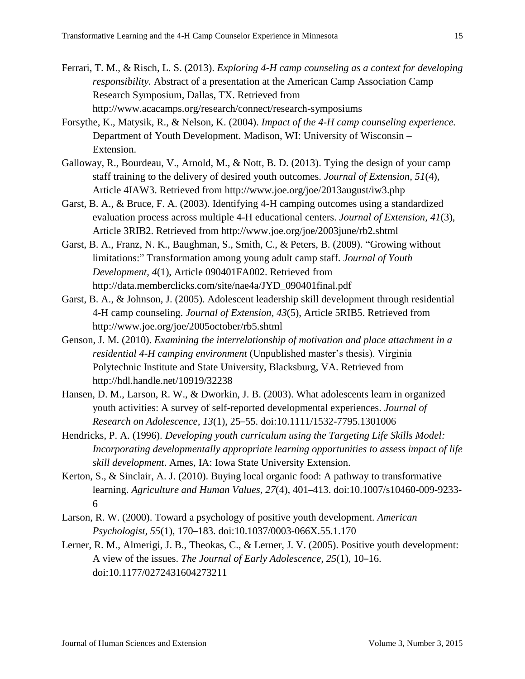- Ferrari, T. M., & Risch, L. S. (2013). *Exploring 4-H camp counseling as a context for developing responsibility.* Abstract of a presentation at the American Camp Association Camp Research Symposium, Dallas, TX. Retrieved from http://www.acacamps.org/research/connect/research-symposiums
- Forsythe, K., Matysik, R., & Nelson, K. (2004). *Impact of the 4-H camp counseling experience.* Department of Youth Development. Madison, WI: University of Wisconsin – Extension.
- Galloway, R., Bourdeau, V., Arnold, M., & Nott, B. D. (2013). Tying the design of your camp staff training to the delivery of desired youth outcomes. *Journal of Extension, 51*(4), Article 4IAW3. Retrieved from http://www.joe.org/joe/2013august/iw3.php
- Garst, B. A., & Bruce, F. A. (2003). Identifying 4-H camping outcomes using a standardized evaluation process across multiple 4-H educational centers. *Journal of Extension, 41*(3), Article 3RIB2. Retrieved from http://www.joe.org/joe/2003june/rb2.shtml
- Garst, B. A., Franz, N. K., Baughman, S., Smith, C., & Peters, B. (2009). "Growing without limitations:" Transformation among young adult camp staff. *Journal of Youth Development, 4*(1), Article 090401FA002. Retrieved from http://data.memberclicks.com/site/nae4a/JYD\_090401final.pdf
- Garst, B. A., & Johnson, J. (2005). Adolescent leadership skill development through residential 4-H camp counseling. *Journal of Extension, 43*(5), Article 5RIB5. Retrieved from http://www.joe.org/joe/2005october/rb5.shtml
- Genson, J. M. (2010). *Examining the interrelationship of motivation and place attachment in a residential 4-H camping environment* (Unpublished master's thesis). Virginia Polytechnic Institute and State University, Blacksburg, VA. Retrieved from http://hdl.handle.net/10919/32238
- Hansen, D. M., Larson, R. W., & Dworkin, J. B. (2003). What adolescents learn in organized youth activities: A survey of self-reported developmental experiences. *Journal of Research on Adolescence, 13*(1), 25–55. doi:10.1111/1532-7795.1301006
- Hendricks, P. A. (1996). *Developing youth curriculum using the Targeting Life Skills Model: Incorporating developmentally appropriate learning opportunities to assess impact of life skill development*. Ames, IA: Iowa State University Extension.
- Kerton, S., & Sinclair, A. J. (2010). Buying local organic food: A pathway to transformative learning. *Agriculture and Human Values, 27*(4), 401–413. doi:10.1007/s10460-009-9233- 6
- Larson, R. W. (2000). Toward a psychology of positive youth development. *American Psychologist, 55*(1), 170–183. doi:10.1037/0003-066X.55.1.170
- Lerner, R. M., Almerigi, J. B., Theokas, C., & Lerner, J. V. (2005). Positive youth development: A view of the issues. *The Journal of Early Adolescence, 25*(1), 10–16. doi:10.1177/0272431604273211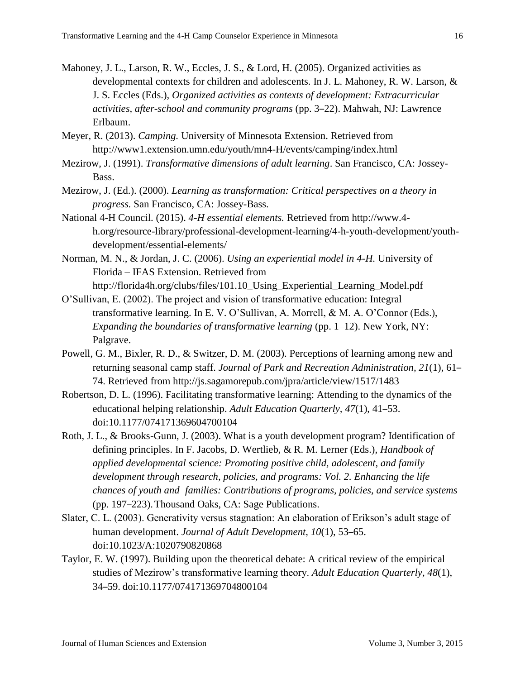- Mahoney, J. L., Larson, R. W., Eccles, J. S., & Lord, H. (2005). Organized activities as developmental contexts for children and adolescents. In J. L. Mahoney, R. W. Larson, & J. S. Eccles (Eds.), *Organized activities as contexts of development: Extracurricular activities, after-school and community programs* (pp. 3–22). Mahwah, NJ: Lawrence Erlbaum.
- Meyer, R. (2013). *Camping.* University of Minnesota Extension. Retrieved from http://www1.extension.umn.edu/youth/mn4-H/events/camping/index.html
- Mezirow, J. (1991). *Transformative dimensions of adult learning*. San Francisco, CA: Jossey-Bass.
- Mezirow, J. (Ed.). (2000). *Learning as transformation: Critical perspectives on a theory in progress.* San Francisco, CA: Jossey-Bass.
- National 4-H Council. (2015). *4-H essential elements.* Retrieved from http://www.4 h.org/resource-library/professional-development-learning/4-h-youth-development/youthdevelopment/essential-elements/
- Norman, M. N., & Jordan, J. C. (2006). *Using an experiential model in 4-H.* University of Florida – IFAS Extension. Retrieved from http://florida4h.org/clubs/files/101.10\_Using\_Experiential\_Learning\_Model.pdf
- O'Sullivan, E. (2002). The project and vision of transformative education: Integral transformative learning. In E. V. O'Sullivan, A. Morrell, & M. A. O'Connor (Eds.), *Expanding the boundaries of transformative learning* (pp. 1–12). New York, NY: Palgrave.
- Powell, G. M., Bixler, R. D., & Switzer, D. M. (2003). Perceptions of learning among new and returning seasonal camp staff. *Journal of Park and Recreation Administration, 21*(1), 61– 74. Retrieved from http://js.sagamorepub.com/jpra/article/view/1517/1483
- Robertson, D. L. (1996). Facilitating transformative learning: Attending to the dynamics of the educational helping relationship. *Adult Education Quarterly, 47*(1), 41–53. doi:10.1177/074171369604700104
- Roth, J. L., & Brooks-Gunn, J. (2003). What is a youth development program? Identification of defining principles. In F. Jacobs, D. Wertlieb, & R. M. Lerner (Eds.), *Handbook of applied developmental science: Promoting positive child, adolescent, and family development through research, policies, and programs: Vol. 2. Enhancing the life chances of youth and families: Contributions of programs, policies, and service systems* (pp. 197–223).Thousand Oaks, CA: Sage Publications.
- Slater, C. L. (2003). Generativity versus stagnation: An elaboration of Erikson's adult stage of human development. *Journal of Adult Development, 10*(1), 53–65. doi:10.1023/A:1020790820868
- Taylor, E. W. (1997). Building upon the theoretical debate: A critical review of the empirical studies of Mezirow's transformative learning theory. *Adult Education Quarterly, 48*(1), 34–59. doi:10.1177/074171369704800104